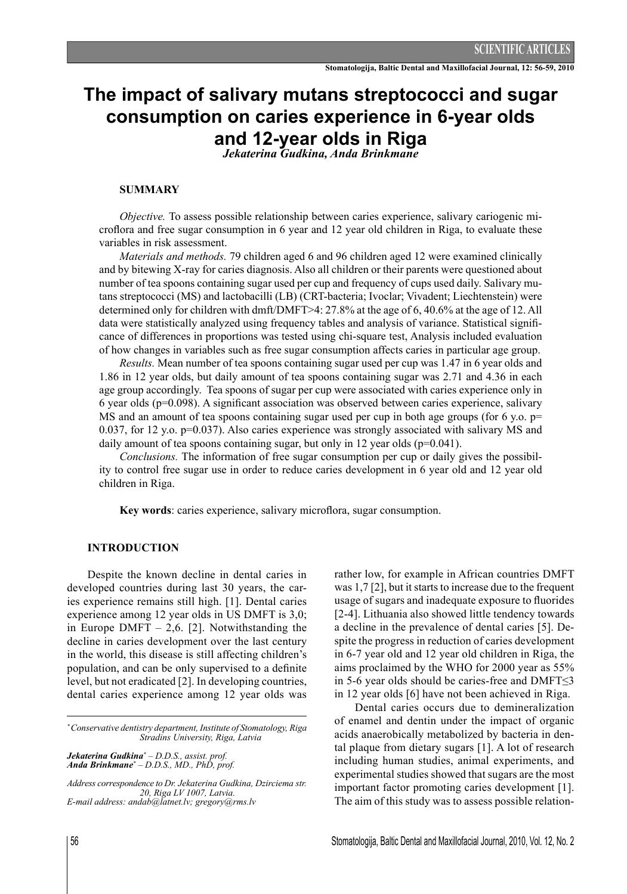# **The impact of salivary mutans streptococci and sugar consumption on caries experience in 6-year olds and 12-year olds in Riga**

*Jekaterina Gudkina, Anda Brinkmane*

## **SUMMARY**

*Objective.* To assess possible relationship between caries experience, salivary cariogenic microflora and free sugar consumption in 6 year and 12 year old children in Riga, to evaluate these variables in risk assessment.

*Materials and methods.* 79 children aged 6 and 96 children aged 12 were examined clinically and by bitewing X-ray for caries diagnosis. Also all children or their parents were questioned about number of tea spoons containing sugar used per cup and frequency of cups used daily. Salivary mutans streptococci (MS) and lactobacilli (LB) (CRT-bacteria; Ivoclar; Vivadent; Liechtenstein) were determined only for children with dmft/DMFT>4: 27.8% at the age of 6, 40.6% at the age of 12. All data were statistically analyzed using frequency tables and analysis of variance. Statistical significance of differences in proportions was tested using chi-square test, Analysis included evaluation of how changes in variables such as free sugar consumption affects caries in particular age group.

*Results.* Mean number of tea spoons containing sugar used per cup was 1.47 in 6 year olds and 1.86 in 12 year olds, but daily amount of tea spoons containing sugar was 2.71 and 4.36 in each age group accordingly. Tea spoons of sugar per cup were associated with caries experience only in 6 year olds (p=0.098). A significant association was observed between caries experience, salivary MS and an amount of tea spoons containing sugar used per cup in both age groups (for 6 y.o.  $p=$ 0.037, for 12 y.o. p=0.037). Also caries experience was strongly associated with salivary MS and daily amount of tea spoons containing sugar, but only in 12 year olds  $(p=0.041)$ .

*Conclusions.* The information of free sugar consumption per cup or daily gives the possibility to control free sugar use in order to reduce caries development in 6 year old and 12 year old children in Riga.

**Key words**: caries experience, salivary microflora, sugar consumption.

#### **INTRODUCTION**

Despite the known decline in dental caries in developed countries during last 30 years, the caries experience remains still high. [1]. Dental caries experience among 12 year olds in US DMFT is 3,0; in Europe DMFT  $- 2, 6$ . [2]. Notwithstanding the decline in caries development over the last century in the world, this disease is still affecting children's population, and can be only supervised to a definite level, but not eradicated [2]. In developing countries, dental caries experience among 12 year olds was

*\* Conservative dentistry department, Institute of Stomatology, Riga Stradins University, Riga, Latvia*

*Jekaterina Gudkina\* – D.D.S., assist. prof. Anda Brinkmane\* – D.D.S., MD., PhD, prof.*

*Address correspondence to Dr. Jekaterina Gudkina, Dzirciema str. 20, Riga LV 1007, Latvia. E-mail address: andab@latnet.lv; gregory@rms.lv*

rather low, for example in African countries DMFT was 1,7 [2], but it starts to increase due to the frequent usage of sugars and inadequate exposure to fluorides [2-4]. Lithuania also showed little tendency towards a decline in the prevalence of dental caries [5]. Despite the progress in reduction of caries development in 6-7 year old and 12 year old children in Riga, the aims proclaimed by the WHO for 2000 year as 55% in 5-6 year olds should be caries-free and DMFT≤3 in 12 year olds [6] have not been achieved in Riga.

Dental caries occurs due to demineralization of enamel and dentin under the impact of organic acids anaerobically metabolized by bacteria in dental plaque from dietary sugars [1]. A lot of research including human studies, animal experiments, and experimental studies showed that sugars are the most important factor promoting caries development [1]. The aim of this study was to assess possible relation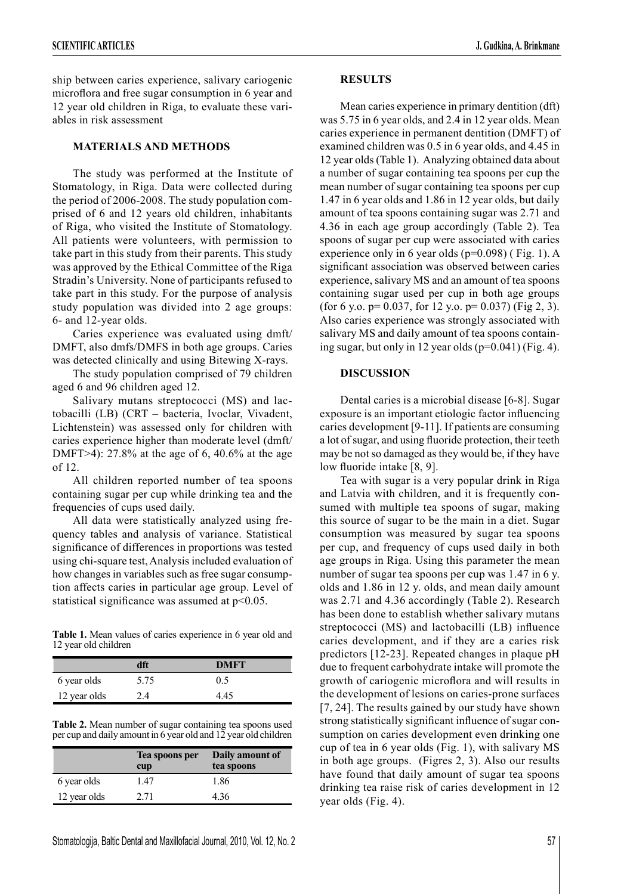ship between caries experience, salivary cariogenic microflora and free sugar consumption in 6 year and 12 year old children in Riga, to evaluate these variables in risk assessment

## **MATERIALS AND METHODS**

The study was performed at the Institute of Stomatology, in Riga. Data were collected during the period of 2006-2008. The study population comprised of 6 and 12 years old children, inhabitants of Riga, who visited the Institute of Stomatology. All patients were volunteers, with permission to take part in this study from their parents. This study was approved by the Ethical Committee of the Riga Stradin's University. None of participants refused to take part in this study. For the purpose of analysis study population was divided into 2 age groups: 6- and 12-year olds.

Caries experience was evaluated using dmft/ DMFT, also dmfs/DMFS in both age groups. Caries was detected clinically and using Bitewing X-rays.

The study population comprised of 79 children aged 6 and 96 children aged 12.

Salivary mutans streptococci (MS) and lactobacilli (LB) (CRT – bacteria, Ivoclar, Vivadent, Lichtenstein) was assessed only for children with caries experience higher than moderate level (dmft/ DMFT>4): 27.8% at the age of 6, 40.6% at the age of 12.

All children reported number of tea spoons containing sugar per cup while drinking tea and the frequencies of cups used daily.

All data were statistically analyzed using frequency tables and analysis of variance. Statistical significance of differences in proportions was tested using chi-square test, Analysis included evaluation of how changes in variables such as free sugar consumption affects caries in particular age group. Level of statistical significance was assumed at  $p<0.05$ .

**Table 1.** Mean values of caries experience in 6 year old and 12 year old children

|              |      | <b>DMFT</b> |  |
|--------------|------|-------------|--|
| 6 year olds  | 5.75 | 0.5         |  |
| 12 year olds | 24   | 4.45        |  |

**Table 2.** Mean number of sugar containing tea spoons used per cup and daily amount in 6 year old and 12 year old children

|              | Tea spoons per<br>cup | Daily amount of<br>tea spoons |
|--------------|-----------------------|-------------------------------|
| 6 year olds  | 1.47                  | 1.86                          |
| 12 year olds | 2.71                  | 4.36                          |

### **RESULTS**

Mean caries experience in primary dentition (dft) was 5.75 in 6 year olds, and 2.4 in 12 year olds. Mean caries experience in permanent dentition (DMFT) of examined children was 0.5 in 6 year olds, and 4.45 in 12 year olds (Table 1). Analyzing obtained data about a number of sugar containing tea spoons per cup the mean number of sugar containing tea spoons per cup 1.47 in 6 year olds and 1.86 in 12 year olds, but daily amount of tea spoons containing sugar was 2.71 and 4.36 in each age group accordingly (Table 2). Tea spoons of sugar per cup were associated with caries experience only in 6 year olds (p=0.098) ( Fig. 1). A significant association was observed between caries experience, salivary MS and an amount of tea spoons containing sugar used per cup in both age groups (for 6 y.o.  $p = 0.037$ , for 12 y.o.  $p = 0.037$ ) (Fig 2, 3). Also caries experience was strongly associated with salivary MS and daily amount of tea spoons containing sugar, but only in 12 year olds  $(p=0.041)$  (Fig. 4).

## **DISCUSSION**

Dental caries is a microbial disease [6-8]. Sugar exposure is an important etiologic factor influencing caries development [9-11]. If patients are consuming a lot of sugar, and using fluoride protection, their teeth may be not so damaged as they would be, if they have low fluoride intake [8, 9].

Tea with sugar is a very popular drink in Riga and Latvia with children, and it is frequently consumed with multiple tea spoons of sugar, making this source of sugar to be the main in a diet. Sugar consumption was measured by sugar tea spoons per cup, and frequency of cups used daily in both age groups in Riga. Using this parameter the mean number of sugar tea spoons per cup was 1.47 in 6 y. olds and 1.86 in 12 y. olds, and mean daily amount was 2.71 and 4.36 accordingly (Table 2). Research has been done to establish whether salivary mutans streptococci (MS) and lactobacilli (LB) influence caries development, and if they are a caries risk predictors [12-23]. Repeated changes in plaque pH due to frequent carbohydrate intake will promote the growth of cariogenic microflora and will results in the development of lesions on caries-prone surfaces [7, 24]. The results gained by our study have shown strong statistically significant influence of sugar consumption on caries development even drinking one cup of tea in 6 year olds (Fig. 1), with salivary MS in both age groups. (Figres 2, 3). Also our results have found that daily amount of sugar tea spoons drinking tea raise risk of caries development in 12 year olds (Fig. 4).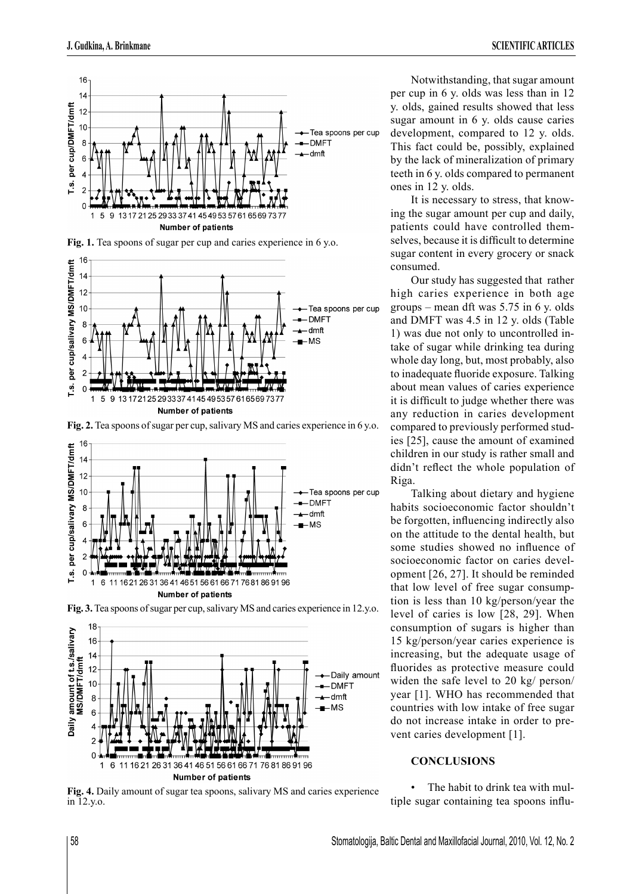

**Fig. 1.** Tea spoons of sugar per cup and caries experience in 6 y.o.



**Fig. 2.** Tea spoons of sugar per cup, salivary MS and caries experience in 6 y.o.



**Fig. 3.** Tea spoons of sugar per cup, salivary MS and caries experience in 12.y.o.



**Fig. 4.** Daily amount of sugar tea spoons, salivary MS and caries experience in 12.y.o.

Notwithstanding, that sugar amount per cup in 6 y. olds was less than in 12 y. olds, gained results showed that less sugar amount in 6 y. olds cause caries development, compared to 12 y. olds. This fact could be, possibly, explained by the lack of mineralization of primary teeth in 6 y. olds compared to permanent ones in 12 y. olds.

It is necessary to stress, that knowing the sugar amount per cup and daily, patients could have controlled themselves, because it is difficult to determine sugar content in every grocery or snack consumed.

Our study has suggested that rather high caries experience in both age groups – mean dft was 5.75 in 6 y. olds and DMFT was 4.5 in 12 y. olds (Table 1) was due not only to uncontrolled intake of sugar while drinking tea during whole day long, but, most probably, also to inadequate fluoride exposure. Talking about mean values of caries experience it is difficult to judge whether there was any reduction in caries development compared to previously performed studies [25], cause the amount of examined children in our study is rather small and didn't reflect the whole population of Riga.

Talking about dietary and hygiene habits socioeconomic factor shouldn't be forgotten, influencing indirectly also on the attitude to the dental health, but some studies showed no influence of socioeconomic factor on caries development [26, 27]. It should be reminded that low level of free sugar consumption is less than 10 kg/person/year the level of caries is low [28, 29]. When consumption of sugars is higher than 15 kg/person/year caries experience is increasing, but the adequate usage of fluorides as protective measure could widen the safe level to 20 kg/ person/ year [1]. WHO has recommended that countries with low intake of free sugar do not increase intake in order to prevent caries development [1].

### **CONCLUSIONS**

The habit to drink tea with multiple sugar containing tea spoons influ